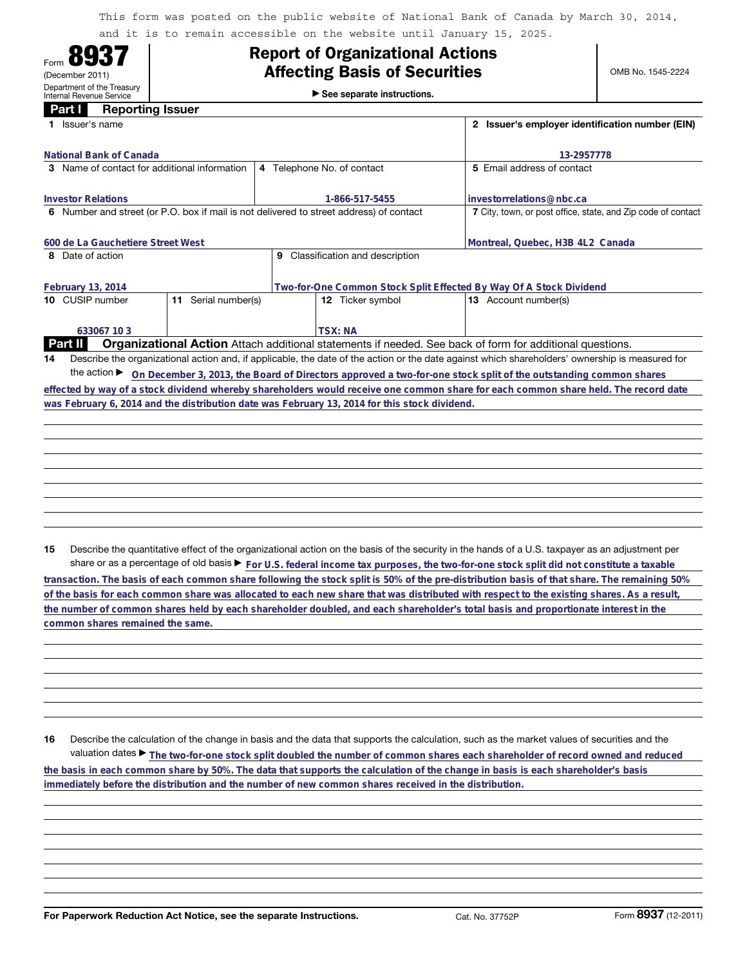This form was posted on the public website of National Bank of Canada by March 30, 2014, and it is to remain accessible on the website until January 15, 2025.

| U<br>Form                                              |
|--------------------------------------------------------|
| (December 2011)                                        |
| Department of the Treasury<br>Internal Revenue Service |
|                                                        |

## **Report of Organizational Actions**

►<br>► See separate instructions.

| Part I<br><b>Reporting Issuer</b>                                                       |                                                                                                                 |                                                                                                                                                 |  |  |  |
|-----------------------------------------------------------------------------------------|-----------------------------------------------------------------------------------------------------------------|-------------------------------------------------------------------------------------------------------------------------------------------------|--|--|--|
| Issuer's name                                                                           | Issuer's employer identification number (EIN)<br>$\mathbf{2}$                                                   |                                                                                                                                                 |  |  |  |
| National Bank of Canada                                                                 |                                                                                                                 | 13-2957778                                                                                                                                      |  |  |  |
| <b>3</b> Name of contact for additional information                                     | 4 Telephone No. of contact                                                                                      | 5 Email address of contact                                                                                                                      |  |  |  |
|                                                                                         |                                                                                                                 |                                                                                                                                                 |  |  |  |
| <b>Investor Relations</b>                                                               | 1-866-517-5455                                                                                                  | investorrelations@nbc.ca                                                                                                                        |  |  |  |
| 6 Number and street (or P.O. box if mail is not delivered to street address) of contact |                                                                                                                 | 7 City, town, or post office, state, and Zip code of contact                                                                                    |  |  |  |
|                                                                                         |                                                                                                                 |                                                                                                                                                 |  |  |  |
| 600 de La Gauchetiere Street West                                                       | Montreal, Quebec, H3B 4L2 Canada                                                                                |                                                                                                                                                 |  |  |  |
| 8 Date of action                                                                        | Classification and description<br>9                                                                             |                                                                                                                                                 |  |  |  |
| February 13, 2014                                                                       | Two-for-One Common Stock Split Effected By Way Of A Stock Dividend                                              |                                                                                                                                                 |  |  |  |
| 10 CUSIP number<br>Serial number(s)<br>11                                               | 12 Ticker symbol                                                                                                | <b>13</b> Account number(s)                                                                                                                     |  |  |  |
|                                                                                         |                                                                                                                 |                                                                                                                                                 |  |  |  |
|                                                                                         |                                                                                                                 |                                                                                                                                                 |  |  |  |
| 633067 10 3                                                                             | <b>TSX: NA</b>                                                                                                  |                                                                                                                                                 |  |  |  |
| Part II                                                                                 | <b>Organizational Action</b> Attach additional statements if needed. See back of form for additional questions. |                                                                                                                                                 |  |  |  |
| 14                                                                                      |                                                                                                                 | Describe the organizational action and, if applicable, the date of the action or the date against which shareholders' ownership is measured for |  |  |  |
| the action $\blacktriangleright$                                                        |                                                                                                                 | On December 3, 2013, the Board of Directors approved a two-for-one stock split of the outstanding common shares                                 |  |  |  |

**effected by way of a stock dividend whereby shareholders would receive one common share for each common share held. The record date was February 6, 2014 and the distribution date was February 13, 2014 for this stock dividend.**

**15** Describe the quantitative effect of the organizational action on the basis of the security in the hands of a U.S. taxpayer as an adjustment per share or as a percentage of old basis  $\blacktriangleright$  For U.S. federal income tax purposes, the two-for-one stock split did not constitute a taxable

**transaction. The basis of each common share following the stock split is 50% of the pre-distribution basis of that share. The remaining 50% of the basis for each common share was allocated to each new share that was distributed with respect to the existing shares. As a result, the number of common shares held by each shareholder doubled, and each shareholder's total basis and proportionate interest in the common shares remained the same.**

**16** Describe the calculation of the change in basis and the data that supports the calculation, such as the market values of securities and the valuation dates ▶ The two-for-one stock split doubled the number of common shares each shareholder of record owned and reduced **the basis in each common share by 50%. The data that supports the calculation of the change in basis is each shareholder's basis immediately before the distribution and the number of new common shares received in the distribution.**